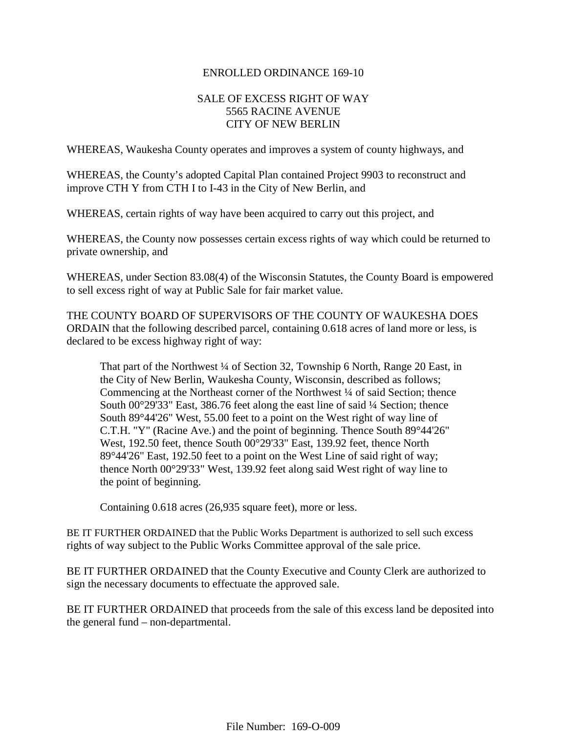#### ENROLLED ORDINANCE 169-10

#### SALE OF EXCESS RIGHT OF WAY 5565 RACINE AVENUE CITY OF NEW BERLIN

WHEREAS, Waukesha County operates and improves a system of county highways, and

WHEREAS, the County's adopted Capital Plan contained Project 9903 to reconstruct and improve CTH Y from CTH I to I-43 in the City of New Berlin, and

WHEREAS, certain rights of way have been acquired to carry out this project, and

WHEREAS, the County now possesses certain excess rights of way which could be returned to private ownership, and

WHEREAS, under Section 83.08(4) of the Wisconsin Statutes, the County Board is empowered to sell excess right of way at Public Sale for fair market value.

THE COUNTY BOARD OF SUPERVISORS OF THE COUNTY OF WAUKESHA DOES ORDAIN that the following described parcel, containing 0.618 acres of land more or less, is declared to be excess highway right of way:

That part of the Northwest ¼ of Section 32, Township 6 North, Range 20 East, in the City of New Berlin, Waukesha County, Wisconsin, described as follows; Commencing at the Northeast corner of the Northwest <sup>1/4</sup> of said Section; thence South 00°29'33" East, 386.76 feet along the east line of said ¼ Section; thence South 89°44'26" West, 55.00 feet to a point on the West right of way line of C.T.H. "Y" (Racine Ave.) and the point of beginning. Thence South 89°44'26" West, 192.50 feet, thence South 00°29'33" East, 139.92 feet, thence North 89°44'26" East, 192.50 feet to a point on the West Line of said right of way; thence North 00°29'33" West, 139.92 feet along said West right of way line to the point of beginning.

Containing 0.618 acres (26,935 square feet), more or less.

BE IT FURTHER ORDAINED that the Public Works Department is authorized to sell such excess rights of way subject to the Public Works Committee approval of the sale price.

BE IT FURTHER ORDAINED that the County Executive and County Clerk are authorized to sign the necessary documents to effectuate the approved sale.

BE IT FURTHER ORDAINED that proceeds from the sale of this excess land be deposited into the general fund – non-departmental.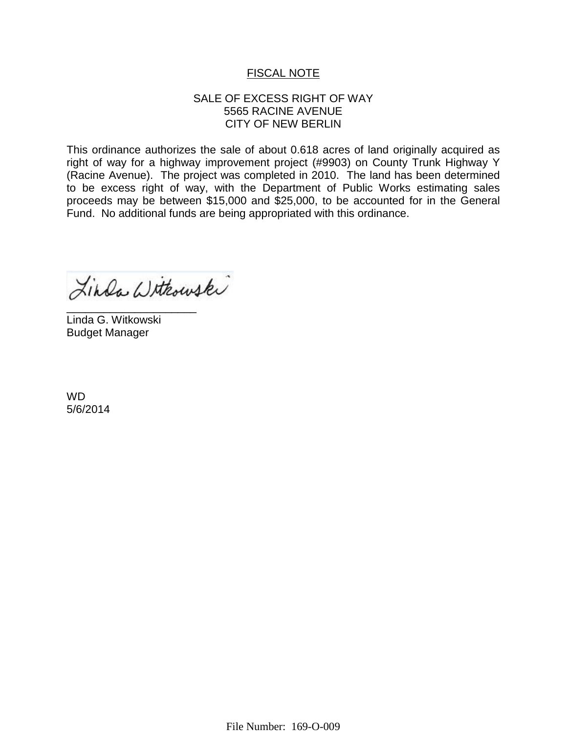# FISCAL NOTE

## SALE OF EXCESS RIGHT OF WAY 5565 RACINE AVENUE CITY OF NEW BERLIN

This ordinance authorizes the sale of about 0.618 acres of land originally acquired as right of way for a highway improvement project (#9903) on County Trunk Highway Y (Racine Avenue). The project was completed in 2010. The land has been determined to be excess right of way, with the Department of Public Works estimating sales proceeds may be between \$15,000 and \$25,000, to be accounted for in the General Fund. No additional funds are being appropriated with this ordinance.

Linda Withouski

\_\_\_\_\_\_\_\_\_\_\_\_\_\_\_\_\_\_\_\_\_ Linda G. Witkowski Budget Manager

WD 5/6/2014

File Number: 169-O-009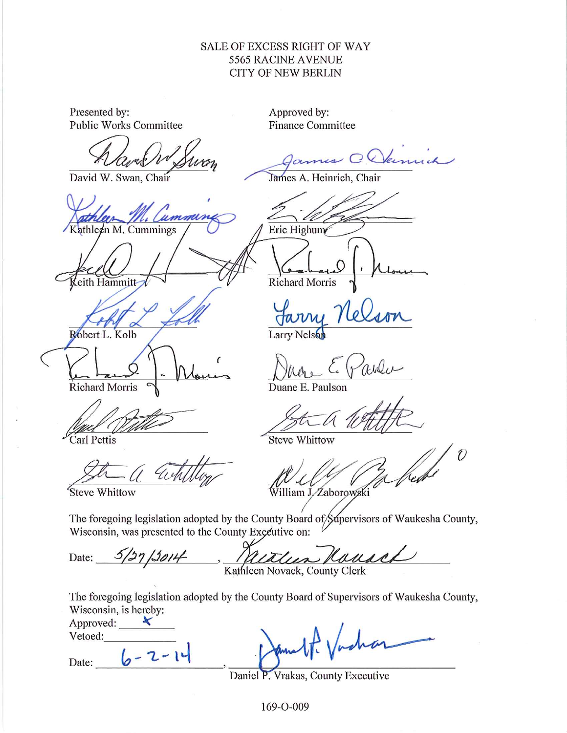## SALE OF EXCESS RIGHT OF WAY 5565 RACINE AVENUE **CITY OF NEW BERLIN**

Presented by: Approved by: **Public Works Committee Finance Committee** Glenne David W. Swan, Chair James A. Heinrich, Chair ummun Kathleen M. Cummings Eric Highum Richard Morris eith Hammitt Robert L. Kolb Larry Nelson Richard Morris Duane E. Paulson Carl Pettis **Steve Whittow**  $\hat{U}$ William J. Zaborowski Steve Whittow The foregoing legislation adopted by the County Board of Supervisors of Waukesha County, Wisconsin, was presented to the County Executive on: Mouse  $3/27/2014$ Withun Date: Kathleen Novack, County Clerk The foregoing legislation adopted by the County Board of Supervisors of Waukesha County, Wisconsin, is hereby: Approved:  $\blacktriangleright$ Vetoed:  $6 - 2 - 14$ Date:

Daniel P. Vrakas, County Executive

169-O-009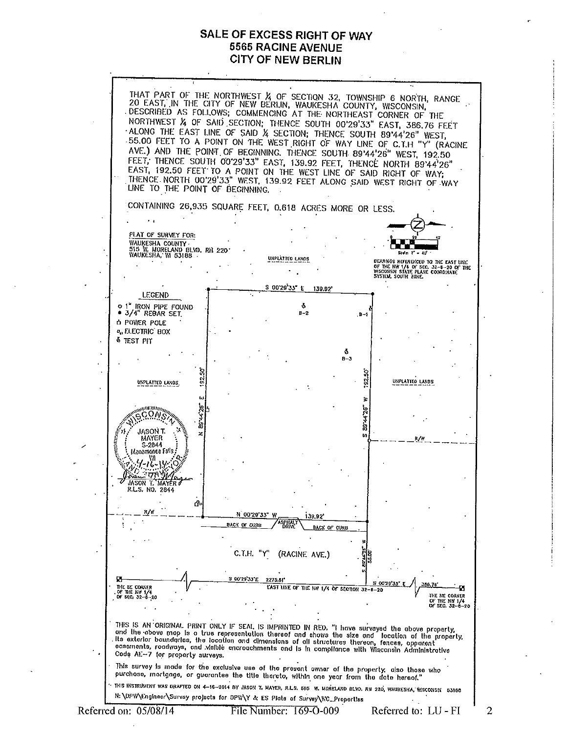### SALE OF EXCESS RIGHT OF WAY **5565 RACINE AVENUE CITY OF NEW BERLIN**



 $\overline{2}$